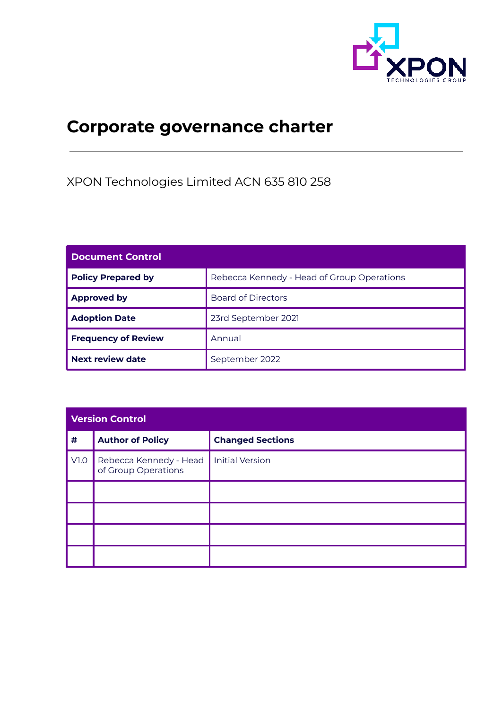

## **Corporate governance charter**

XPON Technologies Limited ACN 635 810 258

| <b>Document Control</b>    |                                            |  |
|----------------------------|--------------------------------------------|--|
| <b>Policy Prepared by</b>  | Rebecca Kennedy - Head of Group Operations |  |
| <b>Approved by</b>         | <b>Board of Directors</b>                  |  |
| <b>Adoption Date</b>       | 23rd September 2021                        |  |
| <b>Frequency of Review</b> | Annual                                     |  |
| Next review date           | September 2022                             |  |

| <b>Version Control</b> |                                               |                         |  |
|------------------------|-----------------------------------------------|-------------------------|--|
| #                      | <b>Author of Policy</b>                       | <b>Changed Sections</b> |  |
| V1.0                   | Rebecca Kennedy - Head<br>of Group Operations | <b>Initial Version</b>  |  |
|                        |                                               |                         |  |
|                        |                                               |                         |  |
|                        |                                               |                         |  |
|                        |                                               |                         |  |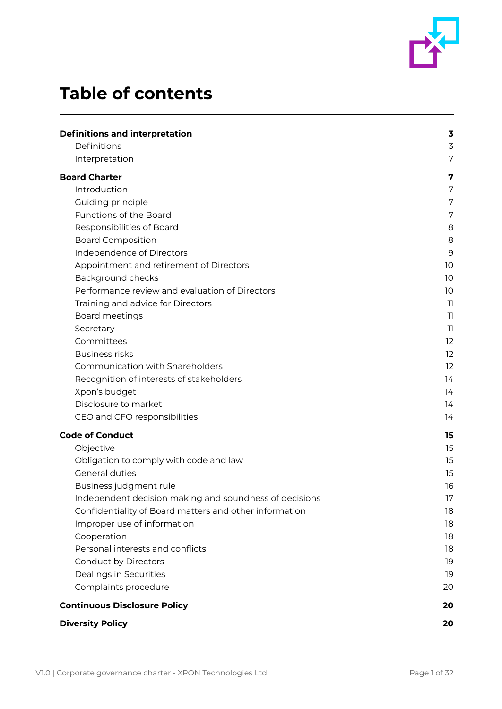

# **Table of contents**

| <b>Definitions and interpretation</b>                  | 3  |
|--------------------------------------------------------|----|
| Definitions                                            | 3  |
| Interpretation                                         | 7  |
| <b>Board Charter</b>                                   | 7  |
| Introduction                                           | 7  |
| Guiding principle                                      | 7  |
| Functions of the Board                                 | 7  |
| Responsibilities of Board                              | 8  |
| <b>Board Composition</b>                               | 8  |
| Independence of Directors                              | 9  |
| Appointment and retirement of Directors                | 10 |
| Background checks                                      | 10 |
| Performance review and evaluation of Directors         | 10 |
| Training and advice for Directors                      | 11 |
| Board meetings                                         | 11 |
| Secretary                                              | 11 |
| Committees                                             | 12 |
| <b>Business risks</b>                                  | 12 |
| Communication with Shareholders                        | 12 |
| Recognition of interests of stakeholders               | 14 |
| Xpon's budget                                          | 14 |
| Disclosure to market                                   | 14 |
| CEO and CFO responsibilities                           | 14 |
| <b>Code of Conduct</b>                                 | 15 |
| Objective                                              | 15 |
| Obligation to comply with code and law                 | 15 |
| General duties                                         | 15 |
| Business judgment rule                                 | 16 |
| Independent decision making and soundness of decisions | 17 |
| Confidentiality of Board matters and other information | 18 |
| Improper use of information                            | 18 |
| Cooperation                                            | 18 |
| Personal interests and conflicts                       | 18 |
| Conduct by Directors                                   | 19 |
| Dealings in Securities                                 | 19 |
| Complaints procedure                                   | 20 |
| <b>Continuous Disclosure Policy</b>                    | 20 |
| <b>Diversity Policy</b>                                | 20 |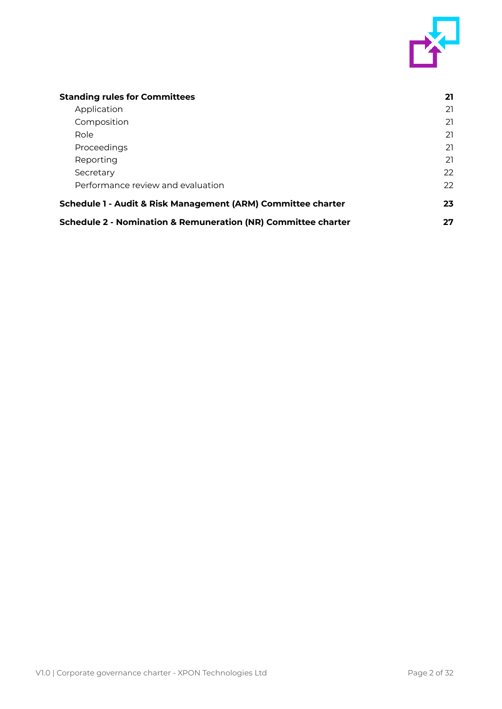

| <b>Standing rules for Committees</b>                                     | 21 |
|--------------------------------------------------------------------------|----|
| Application                                                              | 21 |
| Composition                                                              | 21 |
| Role                                                                     | 21 |
| Proceedings                                                              | 21 |
| Reporting                                                                | 21 |
| Secretary                                                                | 22 |
| Performance review and evaluation                                        | 22 |
| Schedule 1 - Audit & Risk Management (ARM) Committee charter             |    |
| <b>Schedule 2 - Nomination &amp; Remuneration (NR) Committee charter</b> |    |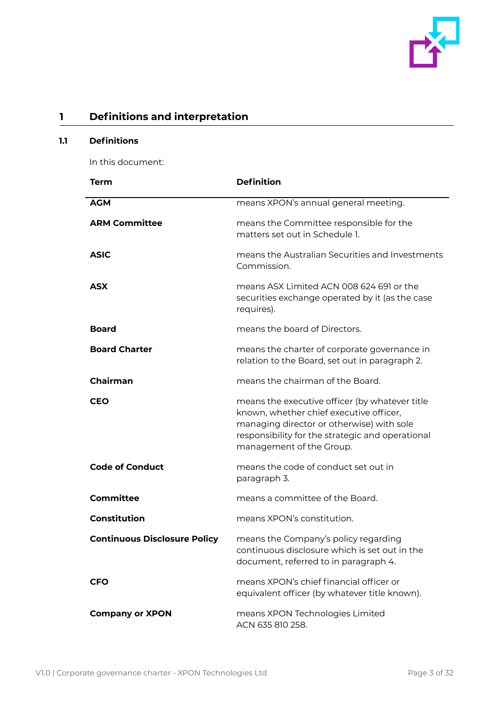

## <span id="page-3-0"></span>**1 Definitions and interpretation**

## <span id="page-3-1"></span>**1.1 Definitions**

In this document:

| Term                                | <b>Definition</b>                                                                                                                                                                                                      |
|-------------------------------------|------------------------------------------------------------------------------------------------------------------------------------------------------------------------------------------------------------------------|
| <b>AGM</b>                          | means XPON's annual general meeting.                                                                                                                                                                                   |
| <b>ARM Committee</b>                | means the Committee responsible for the<br>matters set out in Schedule 1.                                                                                                                                              |
| <b>ASIC</b>                         | means the Australian Securities and Investments<br>Commission.                                                                                                                                                         |
| <b>ASX</b>                          | means ASX Limited ACN 008 624 691 or the<br>securities exchange operated by it (as the case<br>requires).                                                                                                              |
| <b>Board</b>                        | means the board of Directors.                                                                                                                                                                                          |
| <b>Board Charter</b>                | means the charter of corporate governance in<br>relation to the Board, set out in paragraph 2.                                                                                                                         |
| <b>Chairman</b>                     | means the chairman of the Board.                                                                                                                                                                                       |
| <b>CEO</b>                          | means the executive officer (by whatever title<br>known, whether chief executive officer,<br>managing director or otherwise) with sole<br>responsibility for the strategic and operational<br>management of the Group. |
| <b>Code of Conduct</b>              | means the code of conduct set out in<br>paragraph 3.                                                                                                                                                                   |
| <b>Committee</b>                    | means a committee of the Board.                                                                                                                                                                                        |
| Constitution                        | means XPON's constitution.                                                                                                                                                                                             |
| <b>Continuous Disclosure Policy</b> | means the Company's policy regarding<br>continuous disclosure which is set out in the<br>document, referred to in paragraph 4.                                                                                         |
| <b>CFO</b>                          | means XPON's chief financial officer or<br>equivalent officer (by whatever title known).                                                                                                                               |
| <b>Company or XPON</b>              | means XPON Technologies Limited<br>ACN 635 810 258.                                                                                                                                                                    |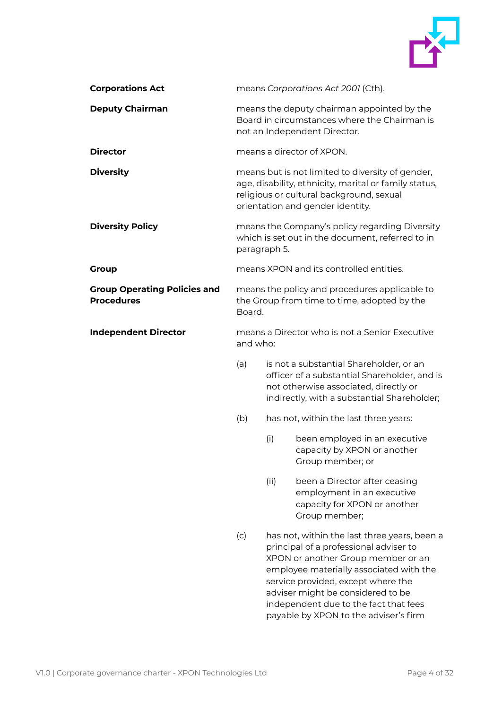

| <b>Corporations Act</b>                                  | means Corporations Act 2001 (Cth).                                                                                                                                                        |      |                                                                                                                                                                                                                                                                                                                                      |
|----------------------------------------------------------|-------------------------------------------------------------------------------------------------------------------------------------------------------------------------------------------|------|--------------------------------------------------------------------------------------------------------------------------------------------------------------------------------------------------------------------------------------------------------------------------------------------------------------------------------------|
| <b>Deputy Chairman</b>                                   | means the deputy chairman appointed by the<br>Board in circumstances where the Chairman is<br>not an Independent Director.                                                                |      |                                                                                                                                                                                                                                                                                                                                      |
| <b>Director</b>                                          | means a director of XPON.                                                                                                                                                                 |      |                                                                                                                                                                                                                                                                                                                                      |
| <b>Diversity</b>                                         | means but is not limited to diversity of gender,<br>age, disability, ethnicity, marital or family status,<br>religious or cultural background, sexual<br>orientation and gender identity. |      |                                                                                                                                                                                                                                                                                                                                      |
| <b>Diversity Policy</b>                                  | means the Company's policy regarding Diversity<br>which is set out in the document, referred to in<br>paragraph 5.                                                                        |      |                                                                                                                                                                                                                                                                                                                                      |
| <b>Group</b>                                             |                                                                                                                                                                                           |      | means XPON and its controlled entities.                                                                                                                                                                                                                                                                                              |
| <b>Group Operating Policies and</b><br><b>Procedures</b> | Board.                                                                                                                                                                                    |      | means the policy and procedures applicable to<br>the Group from time to time, adopted by the                                                                                                                                                                                                                                         |
| <b>Independent Director</b>                              | and who:                                                                                                                                                                                  |      | means a Director who is not a Senior Executive                                                                                                                                                                                                                                                                                       |
|                                                          | (a)                                                                                                                                                                                       |      | is not a substantial Shareholder, or an<br>officer of a substantial Shareholder, and is<br>not otherwise associated, directly or<br>indirectly, with a substantial Shareholder;                                                                                                                                                      |
|                                                          | (b)                                                                                                                                                                                       |      | has not, within the last three years:                                                                                                                                                                                                                                                                                                |
|                                                          |                                                                                                                                                                                           | (i)  | been employed in an executive<br>capacity by XPON or another<br>Group member; or                                                                                                                                                                                                                                                     |
|                                                          |                                                                                                                                                                                           | (ii) | been a Director after ceasing<br>employment in an executive<br>capacity for XPON or another<br>Group member;                                                                                                                                                                                                                         |
|                                                          | (c)                                                                                                                                                                                       |      | has not, within the last three years, been a<br>principal of a professional adviser to<br>XPON or another Group member or an<br>employee materially associated with the<br>service provided, except where the<br>adviser might be considered to be<br>independent due to the fact that fees<br>payable by XPON to the adviser's firm |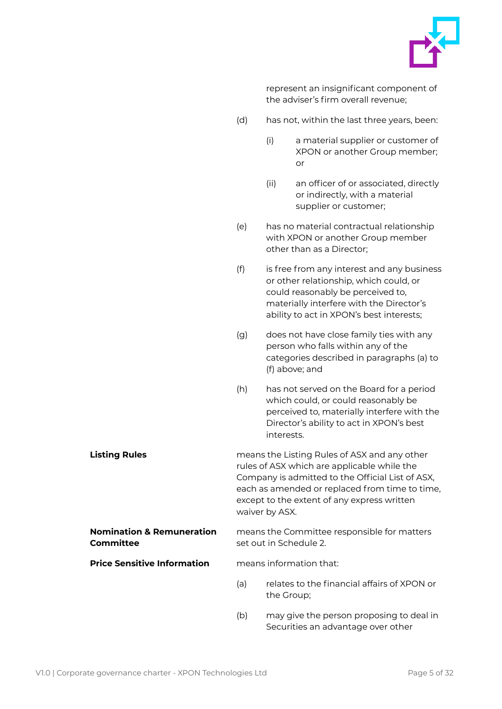

represent an insignificant component of the adviser's firm overall revenue;

- (d) has not, within the last three years, been:
	- (i) a material supplier or customer of XPON or another Group member; or
	- (ii) an officer of or associated, directly or indirectly, with a material supplier or customer;
- (e) has no material contractual relationship with XPON or another Group member other than as a Director;
- (f) is free from any interest and any business or other relationship, which could, or could reasonably be perceived to, materially interfere with the Director's ability to act in XPON's best interests;
- (g) does not have close family ties with any person who falls within any of the categories described in paragraphs (a) to (f) above; and
- (h) has not served on the Board for a period which could, or could reasonably be perceived to, materially interfere with the Director's ability to act in XPON's best interests.
- **Listing Rules means the Listing Rules of ASX and any other** rules of ASX which are applicable while the Company is admitted to the Official List of ASX, each as amended or replaced from time to time, except to the extent of any express written waiver by ASX.

**Nomination & Remuneration Committee** means the Committee responsible for matters set out in Schedule 2.

**Price Sensitive Information** means information that:

- (a) relates to the financial affairs of XPON or the Group;
- (b) may give the person proposing to deal in Securities an advantage over other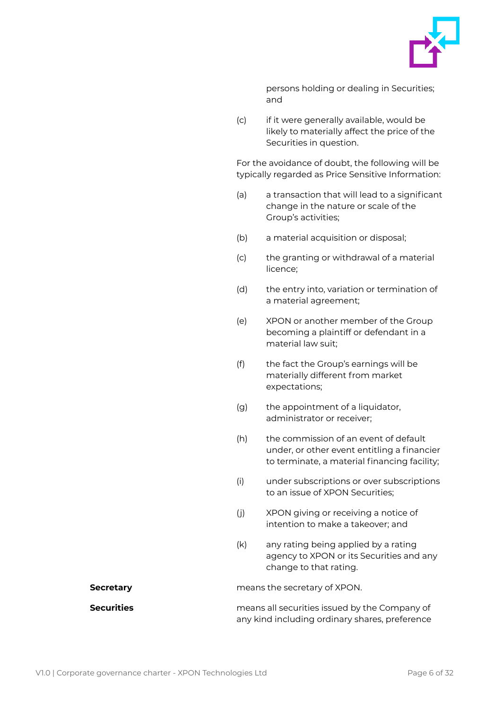

persons holding or dealing in Securities; and

(c) if it were generally available, would be likely to materially affect the price of the Securities in question.

For the avoidance of doubt, the following will be typically regarded as Price Sensitive Information:

- (a) a transaction that will lead to a significant change in the nature or scale of the Group's activities;
- (b) a material acquisition or disposal;
- (c) the granting or withdrawal of a material licence;
- (d) the entry into, variation or termination of a material agreement;
- (e) XPON or another member of the Group becoming a plaintiff or defendant in a material law suit;
- (f) the fact the Group's earnings will be materially different from market expectations;
- (g) the appointment of a liquidator, administrator or receiver;
- (h) the commission of an event of default under, or other event entitling a financier to terminate, a material financing facility;
- (i) under subscriptions or over subscriptions to an issue of XPON Securities;
- (j) XPON giving or receiving a notice of intention to make a takeover; and
- (k) any rating being applied by a rating agency to XPON or its Securities and any change to that rating.

**Secretary Secretary means the secretary of XPON.** 

**Securities** means all securities issued by the Company of any kind including ordinary shares, preference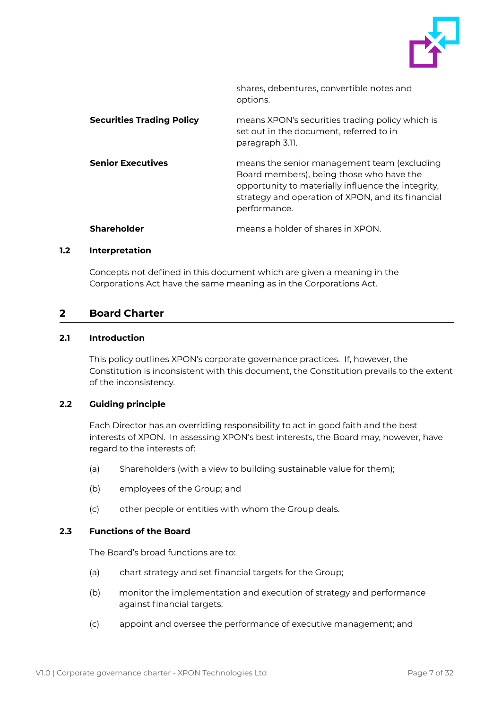

shares, debentures, convertible notes and options.

| <b>Securities Trading Policy</b> | means XPON's securities trading policy which is<br>set out in the document, referred to in<br>paragraph 3.11.                                                                                                      |
|----------------------------------|--------------------------------------------------------------------------------------------------------------------------------------------------------------------------------------------------------------------|
| <b>Senior Executives</b>         | means the senior management team (excluding<br>Board members), being those who have the<br>opportunity to materially influence the integrity,<br>strategy and operation of XPON, and its financial<br>performance. |
| <b>Shareholder</b>               | means a holder of shares in XPON.                                                                                                                                                                                  |

#### <span id="page-7-0"></span>**1.2 Interpretation**

Concepts not defined in this document which are given a meaning in the Corporations Act have the same meaning as in the Corporations Act.

## <span id="page-7-1"></span>**2 Board Charter**

## <span id="page-7-2"></span>**2.1 Introduction**

This policy outlines XPON's corporate governance practices. If, however, the Constitution is inconsistent with this document, the Constitution prevails to the extent of the inconsistency.

## <span id="page-7-3"></span>**2.2 Guiding principle**

Each Director has an overriding responsibility to act in good faith and the best interests of XPON. In assessing XPON's best interests, the Board may, however, have regard to the interests of:

- (a) Shareholders (with a view to building sustainable value for them);
- (b) employees of the Group; and
- (c) other people or entities with whom the Group deals.

## <span id="page-7-4"></span>**2.3 Functions of the Board**

The Board's broad functions are to:

- (a) chart strategy and set financial targets for the Group;
- (b) monitor the implementation and execution of strategy and performance against financial targets;
- (c) appoint and oversee the performance of executive management; and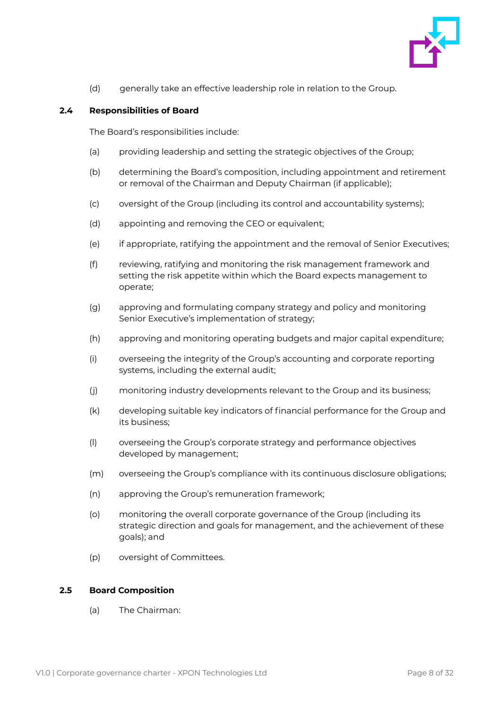

(d) generally take an effective leadership role in relation to the Group.

## <span id="page-8-0"></span>**2.4 Responsibilities of Board**

The Board's responsibilities include:

- (a) providing leadership and setting the strategic objectives of the Group;
- (b) determining the Board's composition, including appointment and retirement or removal of the Chairman and Deputy Chairman (if applicable);
- (c) oversight of the Group (including its control and accountability systems);
- (d) appointing and removing the CEO or equivalent;
- (e) if appropriate, ratifying the appointment and the removal of Senior Executives;
- (f) reviewing, ratifying and monitoring the risk management framework and setting the risk appetite within which the Board expects management to operate;
- (g) approving and formulating company strategy and policy and monitoring Senior Executive's implementation of strategy;
- (h) approving and monitoring operating budgets and major capital expenditure;
- (i) overseeing the integrity of the Group's accounting and corporate reporting systems, including the external audit;
- (j) monitoring industry developments relevant to the Group and its business;
- (k) developing suitable key indicators of financial performance for the Group and its business;
- (l) overseeing the Group's corporate strategy and performance objectives developed by management;
- (m) overseeing the Group's compliance with its continuous disclosure obligations;
- (n) approving the Group's remuneration framework;
- (o) monitoring the overall corporate governance of the Group (including its strategic direction and goals for management, and the achievement of these goals); and
- (p) oversight of Committees.

## <span id="page-8-1"></span>**2.5 Board Composition**

(a) The Chairman: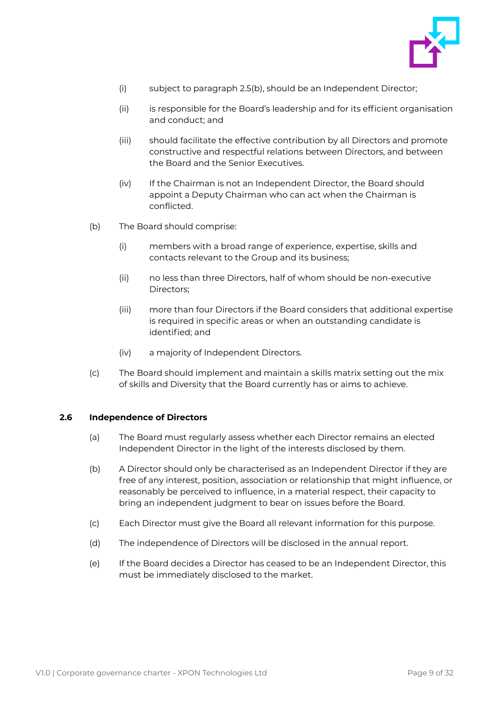

- (i) subject to paragraph 2.5(b), should be an Independent Director;
- (ii) is responsible for the Board's leadership and for its efficient organisation and conduct; and
- (iii) should facilitate the effective contribution by all Directors and promote constructive and respectful relations between Directors, and between the Board and the Senior Executives.
- (iv) If the Chairman is not an Independent Director, the Board should appoint a Deputy Chairman who can act when the Chairman is conflicted.
- (b) The Board should comprise:
	- (i) members with a broad range of experience, expertise, skills and contacts relevant to the Group and its business;
	- (ii) no less than three Directors, half of whom should be non-executive Directors;
	- (iii) more than four Directors if the Board considers that additional expertise is required in specific areas or when an outstanding candidate is identified; and
	- (iv) a majority of Independent Directors.
- (c) The Board should implement and maintain a skills matrix setting out the mix of skills and Diversity that the Board currently has or aims to achieve.

#### <span id="page-9-0"></span>**2.6 Independence of Directors**

- (a) The Board must regularly assess whether each Director remains an elected Independent Director in the light of the interests disclosed by them.
- (b) A Director should only be characterised as an Independent Director if they are free of any interest, position, association or relationship that might influence, or reasonably be perceived to influence, in a material respect, their capacity to bring an independent judgment to bear on issues before the Board.
- (c) Each Director must give the Board all relevant information for this purpose.
- (d) The independence of Directors will be disclosed in the annual report.
- (e) If the Board decides a Director has ceased to be an Independent Director, this must be immediately disclosed to the market.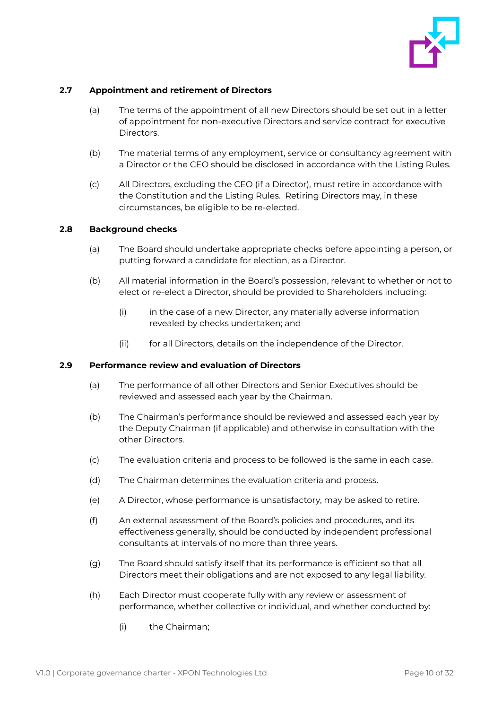

## <span id="page-10-0"></span>**2.7 Appointment and retirement of Directors**

- (a) The terms of the appointment of all new Directors should be set out in a letter of appointment for non-executive Directors and service contract for executive Directors.
- (b) The material terms of any employment, service or consultancy agreement with a Director or the CEO should be disclosed in accordance with the Listing Rules.
- (c) All Directors, excluding the CEO (if a Director), must retire in accordance with the Constitution and the Listing Rules. Retiring Directors may, in these circumstances, be eligible to be re-elected.

## <span id="page-10-1"></span>**2.8 Background checks**

- (a) The Board should undertake appropriate checks before appointing a person, or putting forward a candidate for election, as a Director.
- (b) All material information in the Board's possession, relevant to whether or not to elect or re-elect a Director, should be provided to Shareholders including:
	- (i) in the case of a new Director, any materially adverse information revealed by checks undertaken; and
	- (ii) for all Directors, details on the independence of the Director.

## <span id="page-10-2"></span>**2.9 Performance review and evaluation of Directors**

- (a) The performance of all other Directors and Senior Executives should be reviewed and assessed each year by the Chairman.
- (b) The Chairman's performance should be reviewed and assessed each year by the Deputy Chairman (if applicable) and otherwise in consultation with the other Directors.
- (c) The evaluation criteria and process to be followed is the same in each case.
- (d) The Chairman determines the evaluation criteria and process.
- (e) A Director, whose performance is unsatisfactory, may be asked to retire.
- (f) An external assessment of the Board's policies and procedures, and its effectiveness generally, should be conducted by independent professional consultants at intervals of no more than three years.
- (g) The Board should satisfy itself that its performance is efficient so that all Directors meet their obligations and are not exposed to any legal liability.
- (h) Each Director must cooperate fully with any review or assessment of performance, whether collective or individual, and whether conducted by:
	- (i) the Chairman;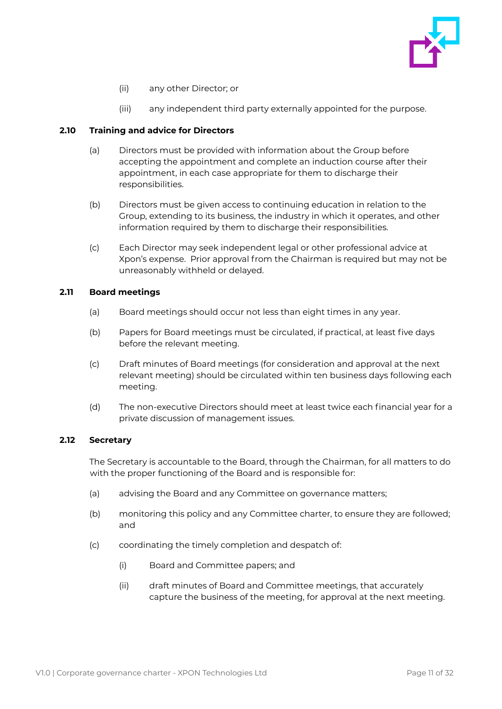

- (ii) any other Director; or
- (iii) any independent third party externally appointed for the purpose.

## <span id="page-11-0"></span>**2.10 Training and advice for Directors**

- (a) Directors must be provided with information about the Group before accepting the appointment and complete an induction course after their appointment, in each case appropriate for them to discharge their responsibilities.
- (b) Directors must be given access to continuing education in relation to the Group, extending to its business, the industry in which it operates, and other information required by them to discharge their responsibilities.
- (c) Each Director may seek independent legal or other professional advice at Xpon's expense. Prior approval from the Chairman is required but may not be unreasonably withheld or delayed.

## <span id="page-11-1"></span>**2.11 Board meetings**

- (a) Board meetings should occur not less than eight times in any year.
- (b) Papers for Board meetings must be circulated, if practical, at least five days before the relevant meeting.
- (c) Draft minutes of Board meetings (for consideration and approval at the next relevant meeting) should be circulated within ten business days following each meeting.
- (d) The non-executive Directors should meet at least twice each financial year for a private discussion of management issues.

## <span id="page-11-2"></span>**2.12 Secretary**

The Secretary is accountable to the Board, through the Chairman, for all matters to do with the proper functioning of the Board and is responsible for:

- (a) advising the Board and any Committee on governance matters;
- (b) monitoring this policy and any Committee charter, to ensure they are followed; and
- (c) coordinating the timely completion and despatch of:
	- (i) Board and Committee papers; and
	- (ii) draft minutes of Board and Committee meetings, that accurately capture the business of the meeting, for approval at the next meeting.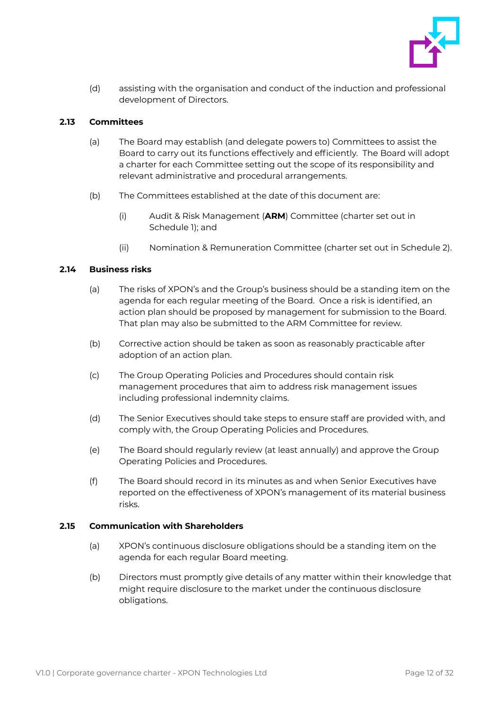

(d) assisting with the organisation and conduct of the induction and professional development of Directors.

## <span id="page-12-0"></span>**2.13 Committees**

- (a) The Board may establish (and delegate powers to) Committees to assist the Board to carry out its functions effectively and efficiently. The Board will adopt a charter for each Committee setting out the scope of its responsibility and relevant administrative and procedural arrangements.
- (b) The Committees established at the date of this document are:
	- (i) Audit & Risk Management (**ARM**) Committee (charter set out in Schedule 1); and
	- (ii) Nomination & Remuneration Committee (charter set out in Schedule 2).

## <span id="page-12-1"></span>**2.14 Business risks**

- (a) The risks of XPON's and the Group's business should be a standing item on the agenda for each regular meeting of the Board. Once a risk is identified, an action plan should be proposed by management for submission to the Board. That plan may also be submitted to the ARM Committee for review.
- (b) Corrective action should be taken as soon as reasonably practicable after adoption of an action plan.
- (c) The Group Operating Policies and Procedures should contain risk management procedures that aim to address risk management issues including professional indemnity claims.
- (d) The Senior Executives should take steps to ensure staff are provided with, and comply with, the Group Operating Policies and Procedures.
- (e) The Board should regularly review (at least annually) and approve the Group Operating Policies and Procedures.
- (f) The Board should record in its minutes as and when Senior Executives have reported on the effectiveness of XPON's management of its material business risks.

## <span id="page-12-2"></span>**2.15 Communication with Shareholders**

- (a) XPON's continuous disclosure obligations should be a standing item on the agenda for each regular Board meeting.
- (b) Directors must promptly give details of any matter within their knowledge that might require disclosure to the market under the continuous disclosure obligations.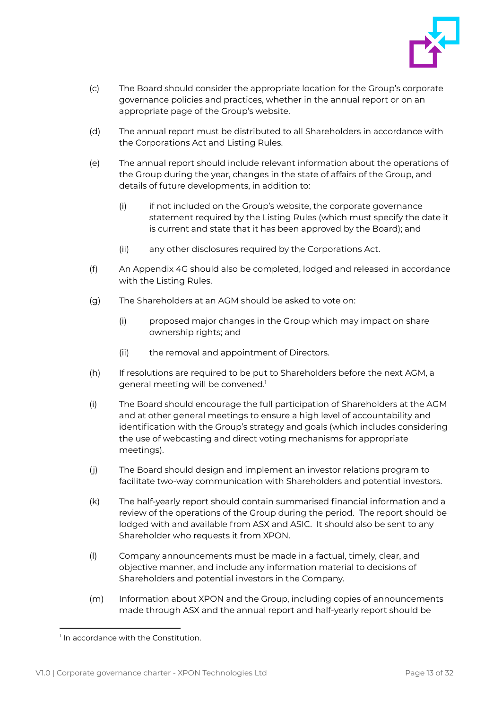

- (c) The Board should consider the appropriate location for the Group's corporate governance policies and practices, whether in the annual report or on an appropriate page of the Group's website.
- (d) The annual report must be distributed to all Shareholders in accordance with the Corporations Act and Listing Rules.
- (e) The annual report should include relevant information about the operations of the Group during the year, changes in the state of affairs of the Group, and details of future developments, in addition to:
	- (i) if not included on the Group's website, the corporate governance statement required by the Listing Rules (which must specify the date it is current and state that it has been approved by the Board); and
	- (ii) any other disclosures required by the Corporations Act.
- (f) An Appendix 4G should also be completed, lodged and released in accordance with the Listing Rules.
- (g) The Shareholders at an AGM should be asked to vote on:
	- (i) proposed major changes in the Group which may impact on share ownership rights; and
	- (ii) the removal and appointment of Directors.
- (h) If resolutions are required to be put to Shareholders before the next AGM, a general meeting will be convened.<sup>1</sup>
- (i) The Board should encourage the full participation of Shareholders at the AGM and at other general meetings to ensure a high level of accountability and identification with the Group's strategy and goals (which includes considering the use of webcasting and direct voting mechanisms for appropriate meetings).
- (j) The Board should design and implement an investor relations program to facilitate two-way communication with Shareholders and potential investors.
- (k) The half-yearly report should contain summarised financial information and a review of the operations of the Group during the period. The report should be lodged with and available from ASX and ASIC. It should also be sent to any Shareholder who requests it from XPON.
- (l) Company announcements must be made in a factual, timely, clear, and objective manner, and include any information material to decisions of Shareholders and potential investors in the Company.
- (m) Information about XPON and the Group, including copies of announcements made through ASX and the annual report and half-yearly report should be

<sup>1</sup> In accordance with the Constitution.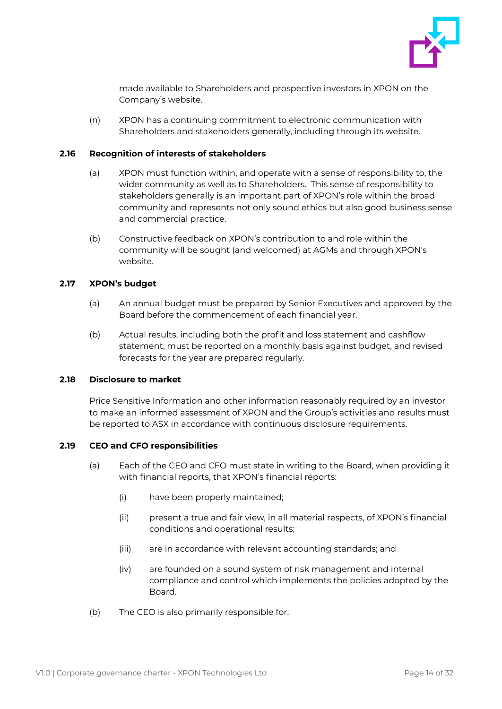

made available to Shareholders and prospective investors in XPON on the Company's website.

(n) XPON has a continuing commitment to electronic communication with Shareholders and stakeholders generally, including through its website.

#### <span id="page-14-0"></span>**2.16 Recognition of interests of stakeholders**

- (a) XPON must function within, and operate with a sense of responsibility to, the wider community as well as to Shareholders. This sense of responsibility to stakeholders generally is an important part of XPON's role within the broad community and represents not only sound ethics but also good business sense and commercial practice.
- (b) Constructive feedback on XPON's contribution to and role within the community will be sought (and welcomed) at AGMs and through XPON's website.

#### <span id="page-14-1"></span>**2.17 XPON's budget**

- (a) An annual budget must be prepared by Senior Executives and approved by the Board before the commencement of each financial year.
- (b) Actual results, including both the profit and loss statement and cashflow statement, must be reported on a monthly basis against budget, and revised forecasts for the year are prepared regularly.

## <span id="page-14-2"></span>**2.18 Disclosure to market**

Price Sensitive Information and other information reasonably required by an investor to make an informed assessment of XPON and the Group's activities and results must be reported to ASX in accordance with continuous disclosure requirements.

## <span id="page-14-3"></span>**2.19 CEO and CFO responsibilities**

- (a) Each of the CEO and CFO must state in writing to the Board, when providing it with financial reports, that XPON's financial reports:
	- (i) have been properly maintained;
	- (ii) present a true and fair view, in all material respects, of XPON's financial conditions and operational results;
	- (iii) are in accordance with relevant accounting standards; and
	- (iv) are founded on a sound system of risk management and internal compliance and control which implements the policies adopted by the Board.
- (b) The CEO is also primarily responsible for: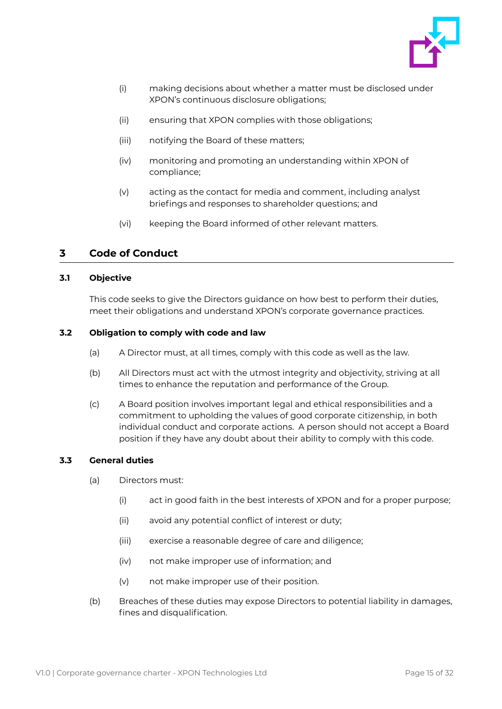

- (i) making decisions about whether a matter must be disclosed under XPON's continuous disclosure obligations;
- (ii) ensuring that XPON complies with those obligations;
- (iii) notifying the Board of these matters;
- (iv) monitoring and promoting an understanding within XPON of compliance;
- (v) acting as the contact for media and comment, including analyst briefings and responses to shareholder questions; and
- (vi) keeping the Board informed of other relevant matters.

## <span id="page-15-0"></span>**3 Code of Conduct**

#### <span id="page-15-1"></span>**3.1 Objective**

This code seeks to give the Directors guidance on how best to perform their duties, meet their obligations and understand XPON's corporate governance practices.

#### <span id="page-15-2"></span>**3.2 Obligation to comply with code and law**

- (a) A Director must, at all times, comply with this code as well as the law.
- (b) All Directors must act with the utmost integrity and objectivity, striving at all times to enhance the reputation and performance of the Group.
- (c) A Board position involves important legal and ethical responsibilities and a commitment to upholding the values of good corporate citizenship, in both individual conduct and corporate actions. A person should not accept a Board position if they have any doubt about their ability to comply with this code.

## <span id="page-15-3"></span>**3.3 General duties**

- (a) Directors must:
	- (i) act in good faith in the best interests of XPON and for a proper purpose;
	- (ii) avoid any potential conflict of interest or duty;
	- (iii) exercise a reasonable degree of care and diligence;
	- (iv) not make improper use of information; and
	- (v) not make improper use of their position.
- (b) Breaches of these duties may expose Directors to potential liability in damages, fines and disqualification.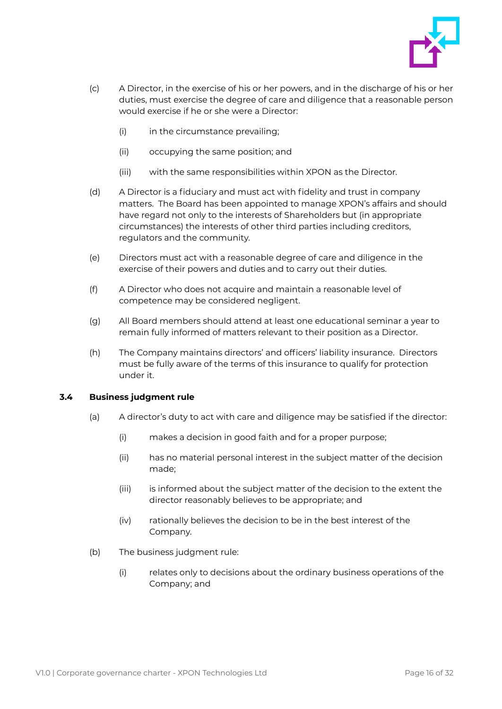

- (c) A Director, in the exercise of his or her powers, and in the discharge of his or her duties, must exercise the degree of care and diligence that a reasonable person would exercise if he or she were a Director:
	- (i) in the circumstance prevailing;
	- (ii) occupying the same position; and
	- (iii) with the same responsibilities within XPON as the Director.
- (d) A Director is a fiduciary and must act with fidelity and trust in company matters. The Board has been appointed to manage XPON's affairs and should have regard not only to the interests of Shareholders but (in appropriate circumstances) the interests of other third parties including creditors, regulators and the community.
- (e) Directors must act with a reasonable degree of care and diligence in the exercise of their powers and duties and to carry out their duties.
- (f) A Director who does not acquire and maintain a reasonable level of competence may be considered negligent.
- (g) All Board members should attend at least one educational seminar a year to remain fully informed of matters relevant to their position as a Director.
- (h) The Company maintains directors' and officers' liability insurance. Directors must be fully aware of the terms of this insurance to qualify for protection under it.

## <span id="page-16-0"></span>**3.4 Business judgment rule**

- (a) A director's duty to act with care and diligence may be satisfied if the director:
	- (i) makes a decision in good faith and for a proper purpose;
	- (ii) has no material personal interest in the subject matter of the decision made;
	- (iii) is informed about the subject matter of the decision to the extent the director reasonably believes to be appropriate; and
	- (iv) rationally believes the decision to be in the best interest of the Company.
- (b) The business judgment rule:
	- (i) relates only to decisions about the ordinary business operations of the Company; and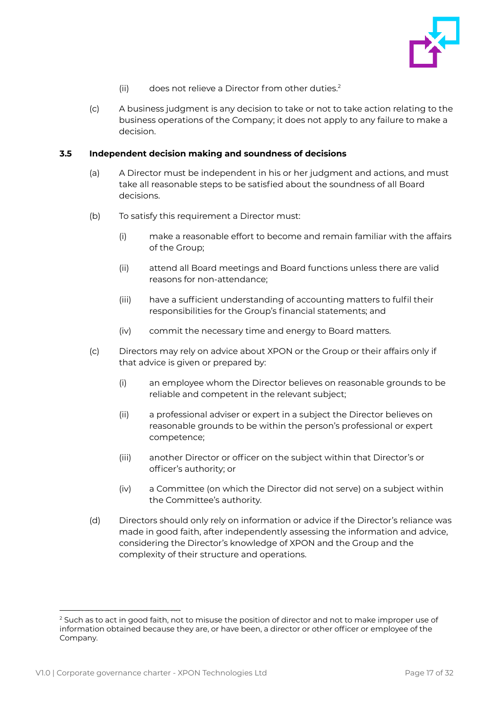

- (ii) does not relieve a Director from other duties.<sup>2</sup>
- (c) A business judgment is any decision to take or not to take action relating to the business operations of the Company; it does not apply to any failure to make a decision.

#### <span id="page-17-0"></span>**3.5 Independent decision making and soundness of decisions**

- (a) A Director must be independent in his or her judgment and actions, and must take all reasonable steps to be satisfied about the soundness of all Board decisions.
- (b) To satisfy this requirement a Director must:
	- (i) make a reasonable effort to become and remain familiar with the affairs of the Group;
	- (ii) attend all Board meetings and Board functions unless there are valid reasons for non-attendance;
	- (iii) have a sufficient understanding of accounting matters to fulfil their responsibilities for the Group's financial statements; and
	- (iv) commit the necessary time and energy to Board matters.
- (c) Directors may rely on advice about XPON or the Group or their affairs only if that advice is given or prepared by:
	- (i) an employee whom the Director believes on reasonable grounds to be reliable and competent in the relevant subject;
	- (ii) a professional adviser or expert in a subject the Director believes on reasonable grounds to be within the person's professional or expert competence;
	- (iii) another Director or officer on the subject within that Director's or officer's authority; or
	- (iv) a Committee (on which the Director did not serve) on a subject within the Committee's authority.
- (d) Directors should only rely on information or advice if the Director's reliance was made in good faith, after independently assessing the information and advice, considering the Director's knowledge of XPON and the Group and the complexity of their structure and operations.

<sup>&</sup>lt;sup>2</sup> Such as to act in good faith, not to misuse the position of director and not to make improper use of information obtained because they are, or have been, a director or other officer or employee of the Company.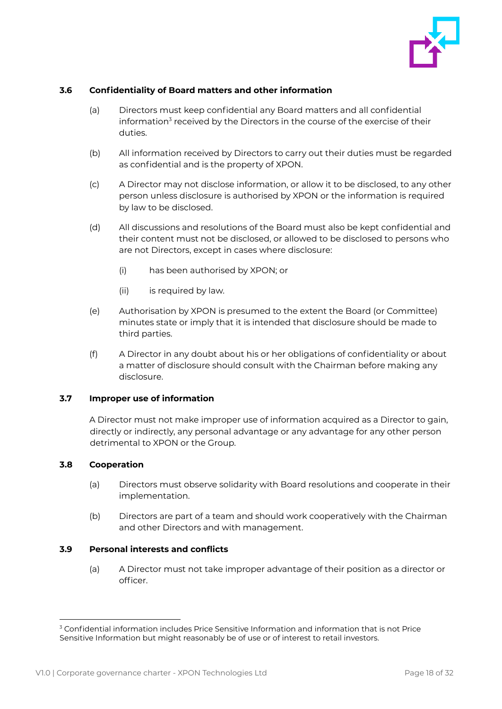

## <span id="page-18-0"></span>**3.6 Confidentiality of Board matters and other information**

- (a) Directors must keep confidential any Board matters and all confidential information<sup>3</sup> received by the Directors in the course of the exercise of their duties.
- (b) All information received by Directors to carry out their duties must be regarded as confidential and is the property of XPON.
- (c) A Director may not disclose information, or allow it to be disclosed, to any other person unless disclosure is authorised by XPON or the information is required by law to be disclosed.
- (d) All discussions and resolutions of the Board must also be kept confidential and their content must not be disclosed, or allowed to be disclosed to persons who are not Directors, except in cases where disclosure:
	- (i) has been authorised by XPON; or
	- (ii) is required by law.
- (e) Authorisation by XPON is presumed to the extent the Board (or Committee) minutes state or imply that it is intended that disclosure should be made to third parties.
- (f) A Director in any doubt about his or her obligations of confidentiality or about a matter of disclosure should consult with the Chairman before making any disclosure.

## <span id="page-18-1"></span>**3.7 Improper use of information**

A Director must not make improper use of information acquired as a Director to gain, directly or indirectly, any personal advantage or any advantage for any other person detrimental to XPON or the Group.

## <span id="page-18-2"></span>**3.8 Cooperation**

- (a) Directors must observe solidarity with Board resolutions and cooperate in their implementation.
- (b) Directors are part of a team and should work cooperatively with the Chairman and other Directors and with management.

## <span id="page-18-3"></span>**3.9 Personal interests and conflicts**

(a) A Director must not take improper advantage of their position as a director or officer.

<sup>&</sup>lt;sup>3</sup> Confidential information includes Price Sensitive Information and information that is not Price Sensitive Information but might reasonably be of use or of interest to retail investors.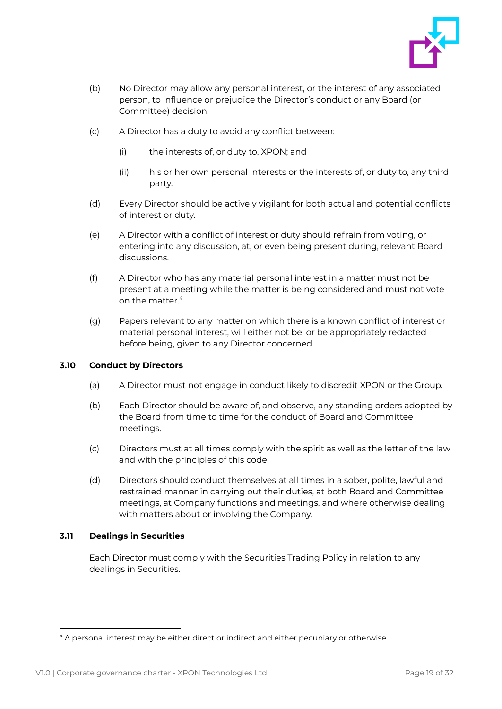

- (b) No Director may allow any personal interest, or the interest of any associated person, to influence or prejudice the Director's conduct or any Board (or Committee) decision.
- (c) A Director has a duty to avoid any conflict between:
	- (i) the interests of, or duty to, XPON; and
	- (ii) his or her own personal interests or the interests of, or duty to, any third party.
- (d) Every Director should be actively vigilant for both actual and potential conflicts of interest or duty.
- (e) A Director with a conflict of interest or duty should refrain from voting, or entering into any discussion, at, or even being present during, relevant Board discussions.
- (f) A Director who has any material personal interest in a matter must not be present at a meeting while the matter is being considered and must not vote on the matter.<sup>4</sup>
- (g) Papers relevant to any matter on which there is a known conflict of interest or material personal interest, will either not be, or be appropriately redacted before being, given to any Director concerned.

## <span id="page-19-0"></span>**3.10 Conduct by Directors**

- (a) A Director must not engage in conduct likely to discredit XPON or the Group.
- (b) Each Director should be aware of, and observe, any standing orders adopted by the Board from time to time for the conduct of Board and Committee meetings.
- (c) Directors must at all times comply with the spirit as well as the letter of the law and with the principles of this code.
- (d) Directors should conduct themselves at all times in a sober, polite, lawful and restrained manner in carrying out their duties, at both Board and Committee meetings, at Company functions and meetings, and where otherwise dealing with matters about or involving the Company.

## <span id="page-19-1"></span>**3.11 Dealings in Securities**

Each Director must comply with the Securities Trading Policy in relation to any dealings in Securities.

<sup>4</sup> A personal interest may be either direct or indirect and either pecuniary or otherwise.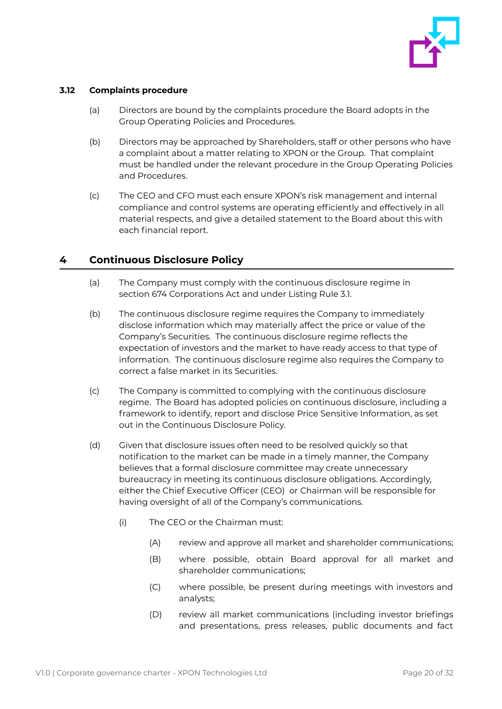

## <span id="page-20-0"></span>**3.12 Complaints procedure**

- (a) Directors are bound by the complaints procedure the Board adopts in the Group Operating Policies and Procedures.
- (b) Directors may be approached by Shareholders, staff or other persons who have a complaint about a matter relating to XPON or the Group. That complaint must be handled under the relevant procedure in the Group Operating Policies and Procedures.
- (c) The CEO and CFO must each ensure XPON's risk management and internal compliance and control systems are operating efficiently and effectively in all material respects, and give a detailed statement to the Board about this with each financial report.

## <span id="page-20-1"></span>**4 Continuous Disclosure Policy**

- (a) The Company must comply with the continuous disclosure regime in section 674 Corporations Act and under Listing Rule 3.1.
- (b) The continuous disclosure regime requires the Company to immediately disclose information which may materially affect the price or value of the Company's Securities. The continuous disclosure regime reflects the expectation of investors and the market to have ready access to that type of information. The continuous disclosure regime also requires the Company to correct a false market in its Securities.
- (c) The Company is committed to complying with the continuous disclosure regime. The Board has adopted policies on continuous disclosure, including a framework to identify, report and disclose Price Sensitive Information, as set out in the Continuous Disclosure Policy.
- (d) Given that disclosure issues often need to be resolved quickly so that notification to the market can be made in a timely manner, the Company believes that a formal disclosure committee may create unnecessary bureaucracy in meeting its continuous disclosure obligations. Accordingly, either the Chief Executive Officer (CEO) or Chairman will be responsible for having oversight of all of the Company's communications.
	- (i) The CEO or the Chairman must:
		- (A) review and approve all market and shareholder communications;
		- (B) where possible, obtain Board approval for all market and shareholder communications;
		- (C) where possible, be present during meetings with investors and analysts;
		- (D) review all market communications (including investor briefings and presentations, press releases, public documents and fact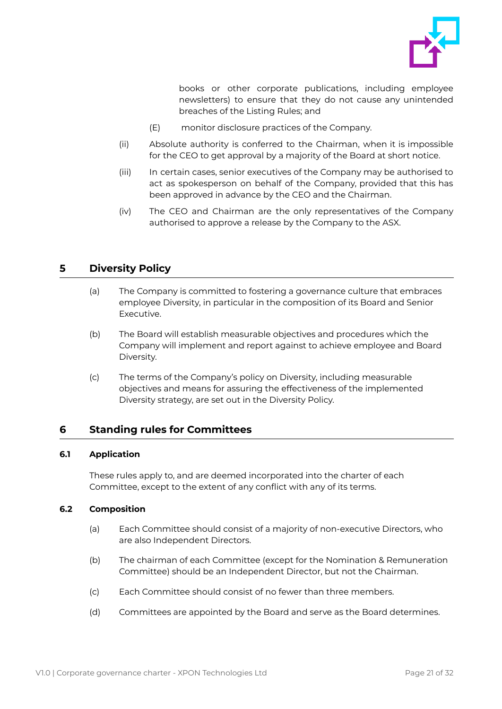

books or other corporate publications, including employee newsletters) to ensure that they do not cause any unintended breaches of the Listing Rules; and

- (E) monitor disclosure practices of the Company.
- (ii) Absolute authority is conferred to the Chairman, when it is impossible for the CEO to get approval by a majority of the Board at short notice.
- (iii) In certain cases, senior executives of the Company may be authorised to act as spokesperson on behalf of the Company, provided that this has been approved in advance by the CEO and the Chairman.
- (iv) The CEO and Chairman are the only representatives of the Company authorised to approve a release by the Company to the ASX.

## <span id="page-21-0"></span>**5 Diversity Policy**

- (a) The Company is committed to fostering a governance culture that embraces employee Diversity, in particular in the composition of its Board and Senior Executive.
- (b) The Board will establish measurable objectives and procedures which the Company will implement and report against to achieve employee and Board Diversity.
- (c) The terms of the Company's policy on Diversity, including measurable objectives and means for assuring the effectiveness of the implemented Diversity strategy, are set out in the Diversity Policy.

## <span id="page-21-1"></span>**6 Standing rules for Committees**

## <span id="page-21-2"></span>**6.1 Application**

These rules apply to, and are deemed incorporated into the charter of each Committee, except to the extent of any conflict with any of its terms.

## <span id="page-21-3"></span>**6.2 Composition**

- (a) Each Committee should consist of a majority of non-executive Directors, who are also Independent Directors.
- (b) The chairman of each Committee (except for the Nomination & Remuneration Committee) should be an Independent Director, but not the Chairman.
- (c) Each Committee should consist of no fewer than three members.
- (d) Committees are appointed by the Board and serve as the Board determines.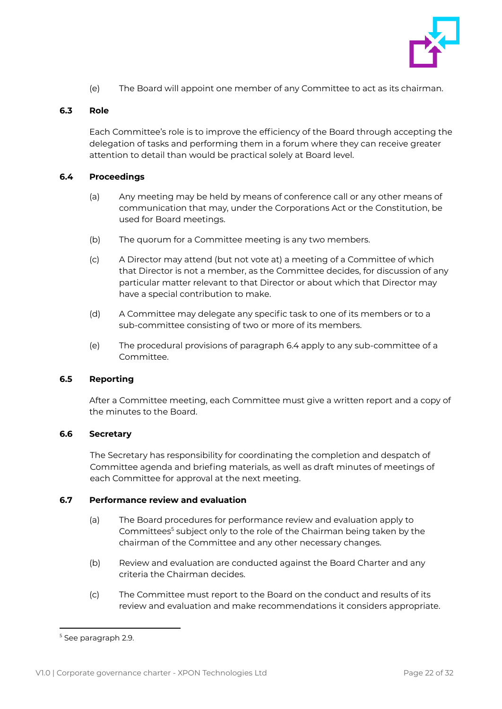

(e) The Board will appoint one member of any Committee to act as its chairman.

## <span id="page-22-0"></span>**6.3 Role**

Each Committee's role is to improve the efficiency of the Board through accepting the delegation of tasks and performing them in a forum where they can receive greater attention to detail than would be practical solely at Board level.

## <span id="page-22-1"></span>**6.4 Proceedings**

- (a) Any meeting may be held by means of conference call or any other means of communication that may, under the Corporations Act or the Constitution, be used for Board meetings.
- (b) The quorum for a Committee meeting is any two members.
- (c) A Director may attend (but not vote at) a meeting of a Committee of which that Director is not a member, as the Committee decides, for discussion of any particular matter relevant to that Director or about which that Director may have a special contribution to make.
- (d) A Committee may delegate any specific task to one of its members or to a sub-committee consisting of two or more of its members.
- (e) The procedural provisions of paragraph 6.4 apply to any sub-committee of a Committee.

## <span id="page-22-2"></span>**6.5 Reporting**

After a Committee meeting, each Committee must give a written report and a copy of the minutes to the Board.

## <span id="page-22-3"></span>**6.6 Secretary**

The Secretary has responsibility for coordinating the completion and despatch of Committee agenda and briefing materials, as well as draft minutes of meetings of each Committee for approval at the next meeting.

## <span id="page-22-4"></span>**6.7 Performance review and evaluation**

- (a) The Board procedures for performance review and evaluation apply to Committees<sup>5</sup> subject only to the role of the Chairman being taken by the chairman of the Committee and any other necessary changes.
- (b) Review and evaluation are conducted against the Board Charter and any criteria the Chairman decides.
- (c) The Committee must report to the Board on the conduct and results of its review and evaluation and make recommendations it considers appropriate.

<sup>&</sup>lt;sup>5</sup> See paragraph 2.9.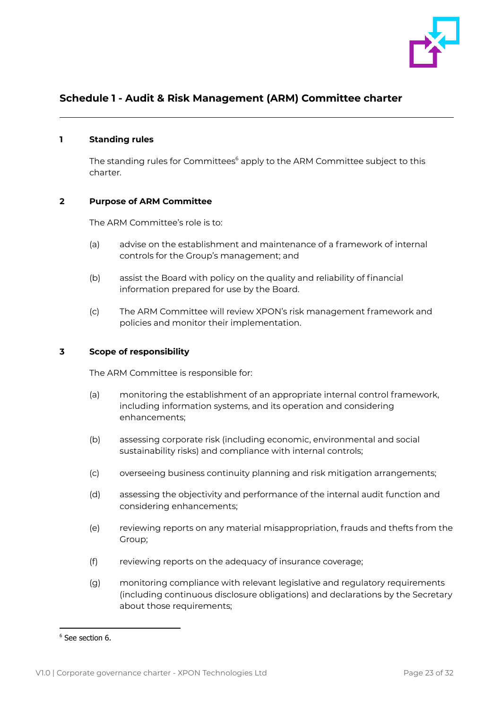

## <span id="page-23-0"></span>**Schedule 1 - Audit & Risk Management (ARM) Committee charter**

## **1 Standing rules**

The standing rules for Committees<sup>6</sup> apply to the ARM Committee subject to this charter.

## **2 Purpose of ARM Committee**

The ARM Committee's role is to:

- (a) advise on the establishment and maintenance of a framework of internal controls for the Group's management; and
- (b) assist the Board with policy on the quality and reliability of financial information prepared for use by the Board.
- (c) The ARM Committee will review XPON's risk management framework and policies and monitor their implementation.

## **3 Scope of responsibility**

The ARM Committee is responsible for:

- (a) monitoring the establishment of an appropriate internal control framework, including information systems, and its operation and considering enhancements;
- (b) assessing corporate risk (including economic, environmental and social sustainability risks) and compliance with internal controls;
- (c) overseeing business continuity planning and risk mitigation arrangements;
- (d) assessing the objectivity and performance of the internal audit function and considering enhancements;
- (e) reviewing reports on any material misappropriation, frauds and thefts from the Group;
- (f) reviewing reports on the adequacy of insurance coverage;
- (g) monitoring compliance with relevant legislative and regulatory requirements (including continuous disclosure obligations) and declarations by the Secretary about those requirements:

<sup>6</sup> See section 6.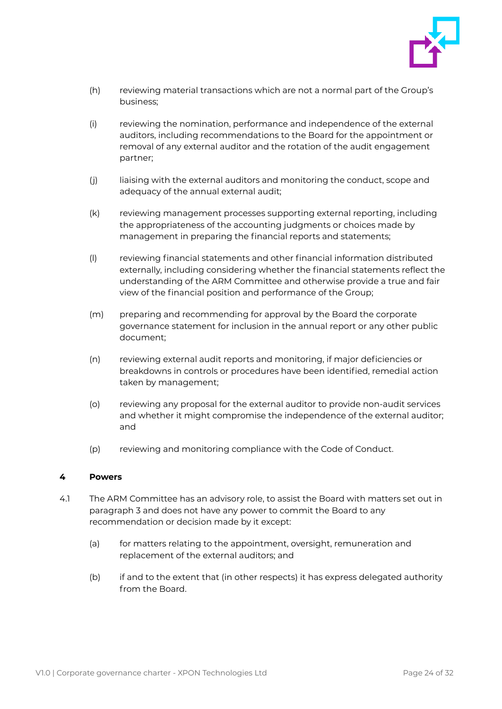

- (h) reviewing material transactions which are not a normal part of the Group's business;
- (i) reviewing the nomination, performance and independence of the external auditors, including recommendations to the Board for the appointment or removal of any external auditor and the rotation of the audit engagement partner;
- (j) liaising with the external auditors and monitoring the conduct, scope and adequacy of the annual external audit;
- (k) reviewing management processes supporting external reporting, including the appropriateness of the accounting judgments or choices made by management in preparing the financial reports and statements;
- (l) reviewing financial statements and other financial information distributed externally, including considering whether the financial statements reflect the understanding of the ARM Committee and otherwise provide a true and fair view of the financial position and performance of the Group;
- (m) preparing and recommending for approval by the Board the corporate governance statement for inclusion in the annual report or any other public document;
- (n) reviewing external audit reports and monitoring, if major deficiencies or breakdowns in controls or procedures have been identified, remedial action taken by management;
- (o) reviewing any proposal for the external auditor to provide non-audit services and whether it might compromise the independence of the external auditor; and
- (p) reviewing and monitoring compliance with the Code of Conduct.

## **4 Powers**

- 4.1 The ARM Committee has an advisory role, to assist the Board with matters set out in paragraph 3 and does not have any power to commit the Board to any recommendation or decision made by it except:
	- (a) for matters relating to the appointment, oversight, remuneration and replacement of the external auditors; and
	- (b) if and to the extent that (in other respects) it has express delegated authority from the Board.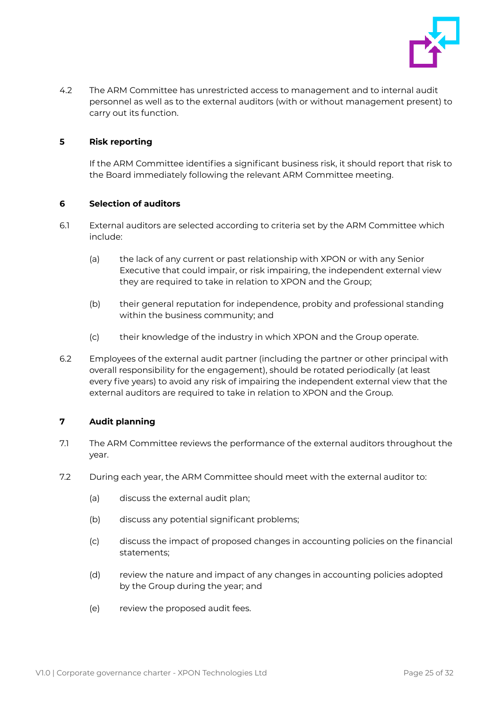

4.2 The ARM Committee has unrestricted access to management and to internal audit personnel as well as to the external auditors (with or without management present) to carry out its function.

## **5 Risk reporting**

If the ARM Committee identifies a significant business risk, it should report that risk to the Board immediately following the relevant ARM Committee meeting.

## **6 Selection of auditors**

- 6.1 External auditors are selected according to criteria set by the ARM Committee which include:
	- (a) the lack of any current or past relationship with XPON or with any Senior Executive that could impair, or risk impairing, the independent external view they are required to take in relation to XPON and the Group;
	- (b) their general reputation for independence, probity and professional standing within the business community; and
	- (c) their knowledge of the industry in which XPON and the Group operate.
- 6.2 Employees of the external audit partner (including the partner or other principal with overall responsibility for the engagement), should be rotated periodically (at least every five years) to avoid any risk of impairing the independent external view that the external auditors are required to take in relation to XPON and the Group.

## **7 Audit planning**

- 7.1 The ARM Committee reviews the performance of the external auditors throughout the year.
- 7.2 During each year, the ARM Committee should meet with the external auditor to:
	- (a) discuss the external audit plan;
	- (b) discuss any potential significant problems;
	- (c) discuss the impact of proposed changes in accounting policies on the financial statements;
	- (d) review the nature and impact of any changes in accounting policies adopted by the Group during the year; and
	- (e) review the proposed audit fees.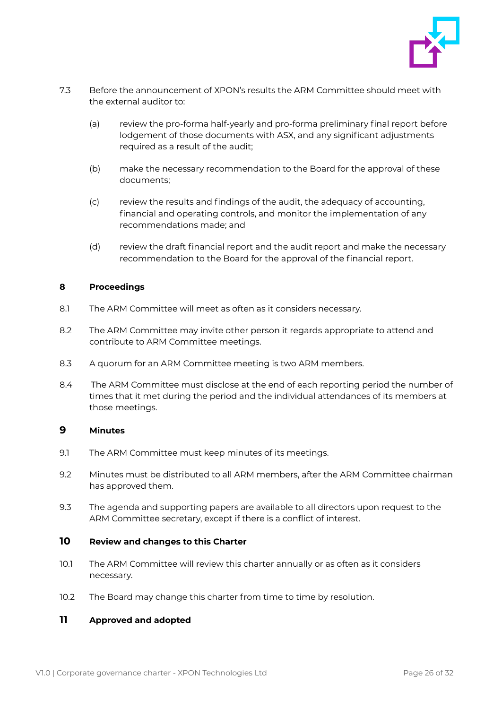

- 7.3 Before the announcement of XPON's results the ARM Committee should meet with the external auditor to:
	- (a) review the pro-forma half-yearly and pro-forma preliminary final report before lodgement of those documents with ASX, and any significant adjustments required as a result of the audit;
	- (b) make the necessary recommendation to the Board for the approval of these documents;
	- (c) review the results and findings of the audit, the adequacy of accounting, financial and operating controls, and monitor the implementation of any recommendations made; and
	- (d) review the draft financial report and the audit report and make the necessary recommendation to the Board for the approval of the financial report.

## **8 Proceedings**

- 8.1 The ARM Committee will meet as often as it considers necessary.
- 8.2 The ARM Committee may invite other person it regards appropriate to attend and contribute to ARM Committee meetings.
- 8.3 A quorum for an ARM Committee meeting is two ARM members.
- 8.4 The ARM Committee must disclose at the end of each reporting period the number of times that it met during the period and the individual attendances of its members at those meetings.

## **9 Minutes**

- 9.1 The ARM Committee must keep minutes of its meetings.
- 9.2 Minutes must be distributed to all ARM members, after the ARM Committee chairman has approved them.
- 9.3 The agenda and supporting papers are available to all directors upon request to the ARM Committee secretary, except if there is a conflict of interest.

## **10 Review and changes to this Charter**

- 10.1 The ARM Committee will review this charter annually or as often as it considers necessary.
- 10.2 The Board may change this charter from time to time by resolution.

## **11 Approved and adopted**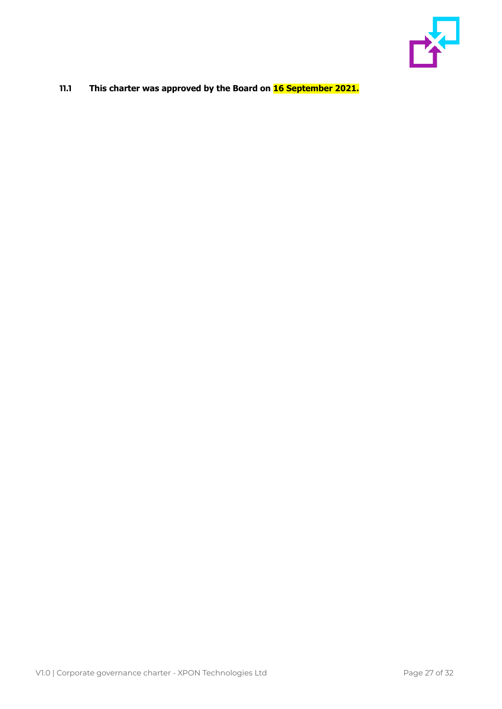

## **11.1 This charter was approved by the Board on 16 September 2021.**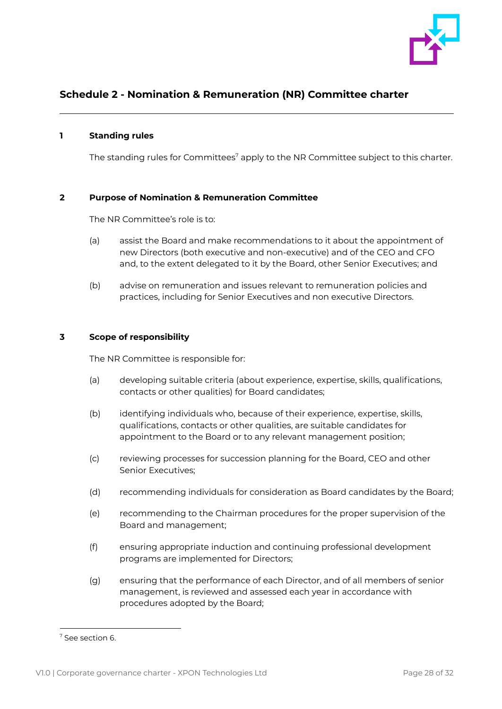

## <span id="page-28-0"></span>**Schedule 2 - Nomination & Remuneration (NR) Committee charter**

## **1 Standing rules**

The standing rules for Committees<sup>7</sup> apply to the NR Committee subject to this charter.

## **2 Purpose of Nomination & Remuneration Committee**

The NR Committee's role is to:

- (a) assist the Board and make recommendations to it about the appointment of new Directors (both executive and non-executive) and of the CEO and CFO and, to the extent delegated to it by the Board, other Senior Executives; and
- (b) advise on remuneration and issues relevant to remuneration policies and practices, including for Senior Executives and non executive Directors.

## **3 Scope of responsibility**

The NR Committee is responsible for:

- (a) developing suitable criteria (about experience, expertise, skills, qualifications, contacts or other qualities) for Board candidates;
- (b) identifying individuals who, because of their experience, expertise, skills, qualifications, contacts or other qualities, are suitable candidates for appointment to the Board or to any relevant management position;
- (c) reviewing processes for succession planning for the Board, CEO and other Senior Executives;
- (d) recommending individuals for consideration as Board candidates by the Board;
- (e) recommending to the Chairman procedures for the proper supervision of the Board and management;
- (f) ensuring appropriate induction and continuing professional development programs are implemented for Directors;
- (g) ensuring that the performance of each Director, and of all members of senior management, is reviewed and assessed each year in accordance with procedures adopted by the Board;

<sup>7</sup> See section 6.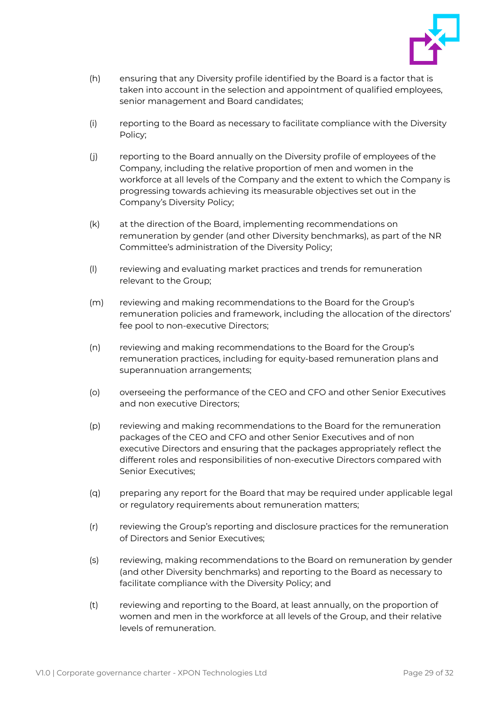

- (h) ensuring that any Diversity profile identified by the Board is a factor that is taken into account in the selection and appointment of qualified employees, senior management and Board candidates;
- (i) reporting to the Board as necessary to facilitate compliance with the Diversity Policy;
- (j) reporting to the Board annually on the Diversity profile of employees of the Company, including the relative proportion of men and women in the workforce at all levels of the Company and the extent to which the Company is progressing towards achieving its measurable objectives set out in the Company's Diversity Policy;
- (k) at the direction of the Board, implementing recommendations on remuneration by gender (and other Diversity benchmarks), as part of the NR Committee's administration of the Diversity Policy;
- (l) reviewing and evaluating market practices and trends for remuneration relevant to the Group;
- (m) reviewing and making recommendations to the Board for the Group's remuneration policies and framework, including the allocation of the directors' fee pool to non-executive Directors;
- (n) reviewing and making recommendations to the Board for the Group's remuneration practices, including for equity-based remuneration plans and superannuation arrangements;
- (o) overseeing the performance of the CEO and CFO and other Senior Executives and non executive Directors;
- (p) reviewing and making recommendations to the Board for the remuneration packages of the CEO and CFO and other Senior Executives and of non executive Directors and ensuring that the packages appropriately reflect the different roles and responsibilities of non-executive Directors compared with Senior Executives;
- (q) preparing any report for the Board that may be required under applicable legal or regulatory requirements about remuneration matters;
- (r) reviewing the Group's reporting and disclosure practices for the remuneration of Directors and Senior Executives;
- (s) reviewing, making recommendations to the Board on remuneration by gender (and other Diversity benchmarks) and reporting to the Board as necessary to facilitate compliance with the Diversity Policy; and
- (t) reviewing and reporting to the Board, at least annually, on the proportion of women and men in the workforce at all levels of the Group, and their relative levels of remuneration.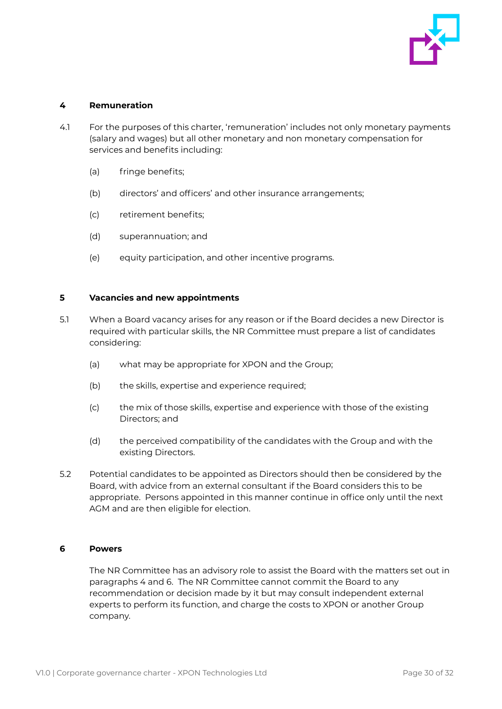

## **4 Remuneration**

- 4.1 For the purposes of this charter, 'remuneration' includes not only monetary payments (salary and wages) but all other monetary and non monetary compensation for services and benefits including:
	- (a) fringe benefits;
	- (b) directors' and officers' and other insurance arrangements;
	- (c) retirement benefits;
	- (d) superannuation; and
	- (e) equity participation, and other incentive programs.

## **5 Vacancies and new appointments**

- 5.1 When a Board vacancy arises for any reason or if the Board decides a new Director is required with particular skills, the NR Committee must prepare a list of candidates considering:
	- (a) what may be appropriate for XPON and the Group;
	- (b) the skills, expertise and experience required;
	- (c) the mix of those skills, expertise and experience with those of the existing Directors; and
	- (d) the perceived compatibility of the candidates with the Group and with the existing Directors.
- 5.2 Potential candidates to be appointed as Directors should then be considered by the Board, with advice from an external consultant if the Board considers this to be appropriate. Persons appointed in this manner continue in office only until the next AGM and are then eligible for election.

## **6 Powers**

The NR Committee has an advisory role to assist the Board with the matters set out in paragraphs 4 and 6. The NR Committee cannot commit the Board to any recommendation or decision made by it but may consult independent external experts to perform its function, and charge the costs to XPON or another Group company.